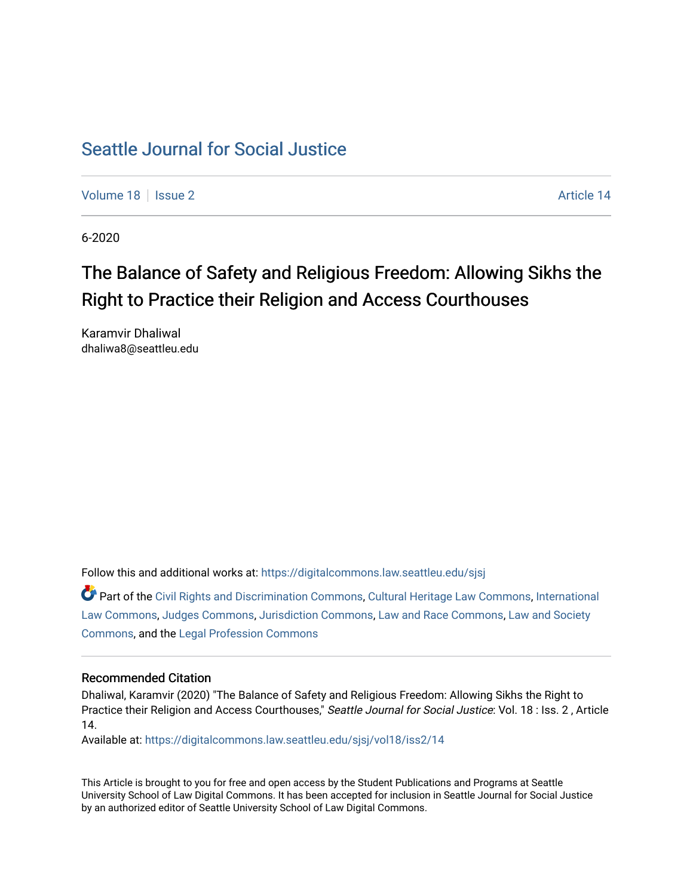# [Seattle Journal for Social Justice](https://digitalcommons.law.seattleu.edu/sjsj)

[Volume 18](https://digitalcommons.law.seattleu.edu/sjsj/vol18) | [Issue 2](https://digitalcommons.law.seattleu.edu/sjsj/vol18/iss2) Article 14

6-2020

# The Balance of Safety and Religious Freedom: Allowing Sikhs the Right to Practice their Religion and Access Courthouses

Karamvir Dhaliwal dhaliwa8@seattleu.edu

Follow this and additional works at: [https://digitalcommons.law.seattleu.edu/sjsj](https://digitalcommons.law.seattleu.edu/sjsj?utm_source=digitalcommons.law.seattleu.edu%2Fsjsj%2Fvol18%2Fiss2%2F14&utm_medium=PDF&utm_campaign=PDFCoverPages)

Part of the [Civil Rights and Discrimination Commons,](http://network.bepress.com/hgg/discipline/585?utm_source=digitalcommons.law.seattleu.edu%2Fsjsj%2Fvol18%2Fiss2%2F14&utm_medium=PDF&utm_campaign=PDFCoverPages) [Cultural Heritage Law Commons](http://network.bepress.com/hgg/discipline/1384?utm_source=digitalcommons.law.seattleu.edu%2Fsjsj%2Fvol18%2Fiss2%2F14&utm_medium=PDF&utm_campaign=PDFCoverPages), [International](http://network.bepress.com/hgg/discipline/609?utm_source=digitalcommons.law.seattleu.edu%2Fsjsj%2Fvol18%2Fiss2%2F14&utm_medium=PDF&utm_campaign=PDFCoverPages)  [Law Commons,](http://network.bepress.com/hgg/discipline/609?utm_source=digitalcommons.law.seattleu.edu%2Fsjsj%2Fvol18%2Fiss2%2F14&utm_medium=PDF&utm_campaign=PDFCoverPages) [Judges Commons,](http://network.bepress.com/hgg/discipline/849?utm_source=digitalcommons.law.seattleu.edu%2Fsjsj%2Fvol18%2Fiss2%2F14&utm_medium=PDF&utm_campaign=PDFCoverPages) [Jurisdiction Commons,](http://network.bepress.com/hgg/discipline/850?utm_source=digitalcommons.law.seattleu.edu%2Fsjsj%2Fvol18%2Fiss2%2F14&utm_medium=PDF&utm_campaign=PDFCoverPages) [Law and Race Commons,](http://network.bepress.com/hgg/discipline/1300?utm_source=digitalcommons.law.seattleu.edu%2Fsjsj%2Fvol18%2Fiss2%2F14&utm_medium=PDF&utm_campaign=PDFCoverPages) [Law and Society](http://network.bepress.com/hgg/discipline/853?utm_source=digitalcommons.law.seattleu.edu%2Fsjsj%2Fvol18%2Fiss2%2F14&utm_medium=PDF&utm_campaign=PDFCoverPages)  [Commons](http://network.bepress.com/hgg/discipline/853?utm_source=digitalcommons.law.seattleu.edu%2Fsjsj%2Fvol18%2Fiss2%2F14&utm_medium=PDF&utm_campaign=PDFCoverPages), and the [Legal Profession Commons](http://network.bepress.com/hgg/discipline/1075?utm_source=digitalcommons.law.seattleu.edu%2Fsjsj%2Fvol18%2Fiss2%2F14&utm_medium=PDF&utm_campaign=PDFCoverPages)

# Recommended Citation

Dhaliwal, Karamvir (2020) "The Balance of Safety and Religious Freedom: Allowing Sikhs the Right to Practice their Religion and Access Courthouses," Seattle Journal for Social Justice: Vol. 18 : Iss. 2, Article 14.

Available at: [https://digitalcommons.law.seattleu.edu/sjsj/vol18/iss2/14](https://digitalcommons.law.seattleu.edu/sjsj/vol18/iss2/14?utm_source=digitalcommons.law.seattleu.edu%2Fsjsj%2Fvol18%2Fiss2%2F14&utm_medium=PDF&utm_campaign=PDFCoverPages) 

This Article is brought to you for free and open access by the Student Publications and Programs at Seattle University School of Law Digital Commons. It has been accepted for inclusion in Seattle Journal for Social Justice by an authorized editor of Seattle University School of Law Digital Commons.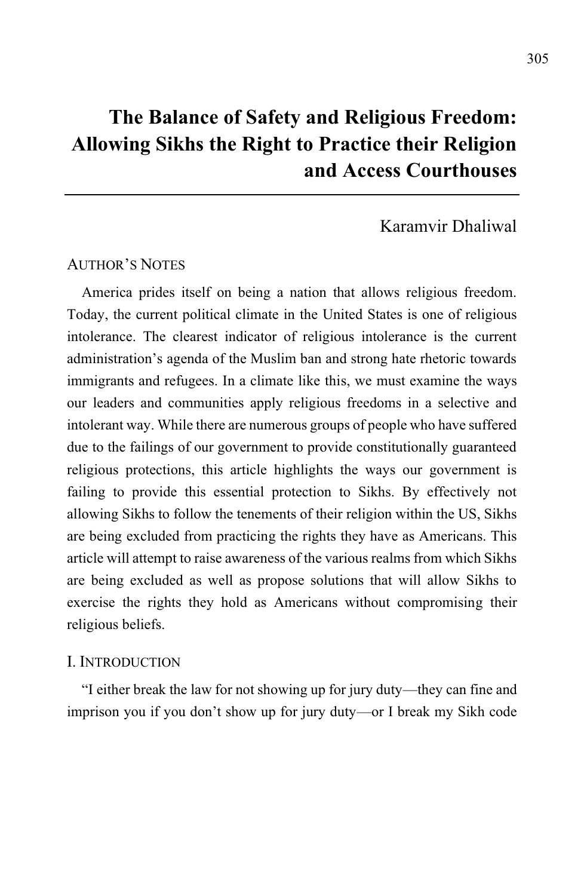# **The Balance of Safety and Religious Freedom: Allowing Sikhs the Right to Practice their Religion and Access Courthouses**

# Karamvir Dhaliwal

### AUTHOR'S NOTES

America prides itself on being a nation that allows religious freedom. Today, the current political climate in the United States is one of religious intolerance. The clearest indicator of religious intolerance is the current administration's agenda of the Muslim ban and strong hate rhetoric towards immigrants and refugees. In a climate like this, we must examine the ways our leaders and communities apply religious freedoms in a selective and intolerant way. While there are numerous groups of people who have suffered due to the failings of our government to provide constitutionally guaranteed religious protections, this article highlights the ways our government is failing to provide this essential protection to Sikhs. By effectively not allowing Sikhs to follow the tenements of their religion within the US, Sikhs are being excluded from practicing the rights they have as Americans. This article will attempt to raise awareness of the various realms from which Sikhs are being excluded as well as propose solutions that will allow Sikhs to exercise the rights they hold as Americans without compromising their religious beliefs.

#### I. INTRODUCTION

"I either break the law for not showing up for jury duty—they can fine and imprison you if you don't show up for jury duty—or I break my Sikh code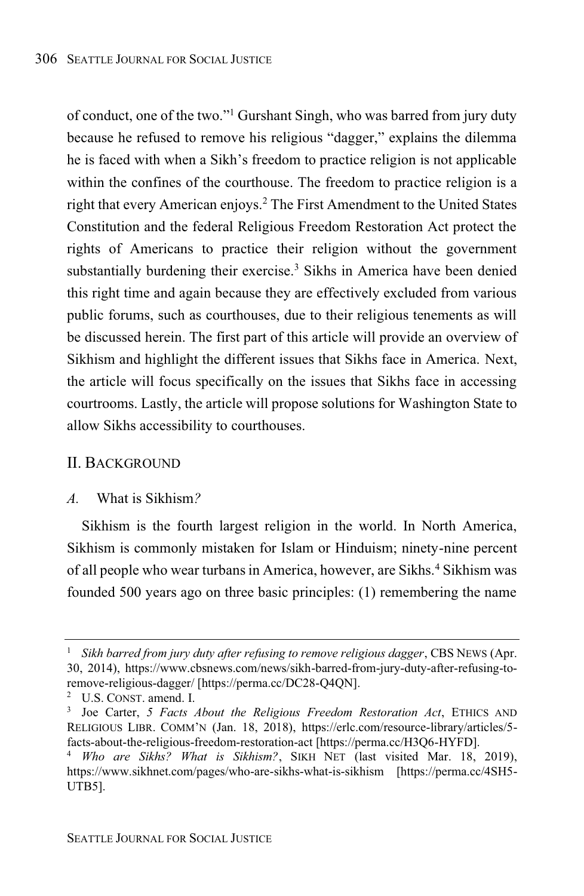of conduct, one of the two."<sup>1</sup> Gurshant Singh, who was barred from jury duty because he refused to remove his religious "dagger," explains the dilemma he is faced with when a Sikh's freedom to practice religion is not applicable within the confines of the courthouse. The freedom to practice religion is a right that every American enjoys. <sup>2</sup> The First Amendment to the United States Constitution and the federal Religious Freedom Restoration Act protect the rights of Americans to practice their religion without the government substantially burdening their exercise.<sup>3</sup> Sikhs in America have been denied this right time and again because they are effectively excluded from various public forums, such as courthouses, due to their religious tenements as will be discussed herein. The first part of this article will provide an overview of Sikhism and highlight the different issues that Sikhs face in America. Next, the article will focus specifically on the issues that Sikhs face in accessing courtrooms. Lastly, the article will propose solutions for Washington State to allow Sikhs accessibility to courthouses.

#### II. BACKGROUND

### *A.* What is Sikhism*?*

Sikhism is the fourth largest religion in the world. In North America, Sikhism is commonly mistaken for Islam or Hinduism; ninety-nine percent of all people who wear turbans in America, however, are Sikhs.<sup>4</sup> Sikhism was founded 500 years ago on three basic principles: (1) remembering the name

<sup>1</sup> *Sikh barred from jury duty after refusing to remove religious dagger*, CBS NEWS (Apr. 30, 2014), https://www.cbsnews.com/news/sikh-barred-from-jury-duty-after-refusing-toremove-religious-dagger/ [https://perma.cc/DC28-Q4QN].

<sup>2</sup> U.S. CONST. amend. I.

<sup>3</sup> Joe Carter, *5 Facts About the Religious Freedom Restoration Act*, ETHICS AND RELIGIOUS LIBR. COMM'N (Jan. 18, 2018), https://erlc.com/resource-library/articles/5 facts-about-the-religious-freedom-restoration-act [https://perma.cc/H3Q6-HYFD].

<sup>4</sup> *Who are Sikhs? What is Sikhism?*, SIKH NET (last visited Mar. 18, 2019), https://www.sikhnet.com/pages/who-are-sikhs-what-is-sikhism [https://perma.cc/4SH5- UTB5].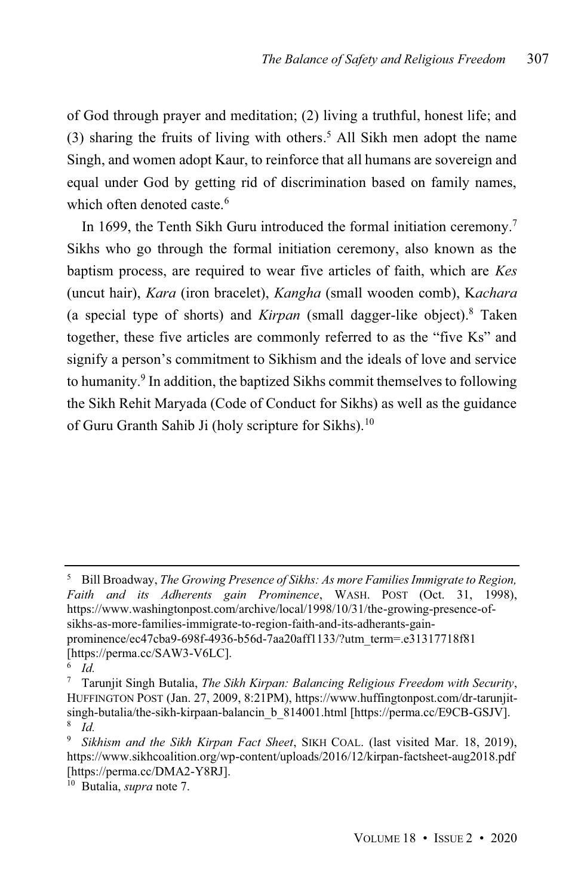of God through prayer and meditation; (2) living a truthful, honest life; and (3) sharing the fruits of living with others. <sup>5</sup> All Sikh men adopt the name Singh, and women adopt Kaur, to reinforce that all humans are sovereign and equal under God by getting rid of discrimination based on family names, which often denoted caste.<sup>6</sup>

In 1699, the Tenth Sikh Guru introduced the formal initiation ceremony.<sup>7</sup> Sikhs who go through the formal initiation ceremony, also known as the baptism process, are required to wear five articles of faith, which are *Kes* (uncut hair), *Kara* (iron bracelet), *Kangha* (small wooden comb), K*achara* (a special type of shorts) and *Kirpan* (small dagger-like object). <sup>8</sup> Taken together, these five articles are commonly referred to as the "five Ks" and signify a person's commitment to Sikhism and the ideals of love and service to humanity. 9 In addition, the baptized Sikhs commit themselves to following the Sikh Rehit Maryada (Code of Conduct for Sikhs) as well as the guidance of Guru Granth Sahib Ji (holy scripture for Sikhs).<sup>10</sup>

<sup>5</sup> Bill Broadway, *The Growing Presence of Sikhs: As more Families Immigrate to Region, Faith and its Adherents gain Prominence*, WASH. POST (Oct. 31, 1998), https://www.washingtonpost.com/archive/local/1998/10/31/the-growing-presence-ofsikhs-as-more-families-immigrate-to-region-faith-and-its-adherants-gainprominence/ec47cba9-698f-4936-b56d-7aa20aff1133/?utm\_term=.e31317718f81 [https://perma.cc/SAW3-V6LC].

<sup>6</sup> *Id.*

<sup>7</sup> Tarunjit Singh Butalia, *The Sikh Kirpan: Balancing Religious Freedom with Security*, HUFFINGTON POST (Jan. 27, 2009, 8:21PM), https://www.huffingtonpost.com/dr-tarunjitsingh-butalia/the-sikh-kirpaan-balancin b 814001.html [https://perma.cc/E9CB-GSJV]. 8 *Id.*

<sup>9</sup> *Sikhism and the Sikh Kirpan Fact Sheet*, SIKH COAL. (last visited Mar. 18, 2019), https://www.sikhcoalition.org/wp-content/uploads/2016/12/kirpan-factsheet-aug2018.pdf [https://perma.cc/DMA2-Y8RJ].

<sup>10</sup> Butalia, *supra* note 7.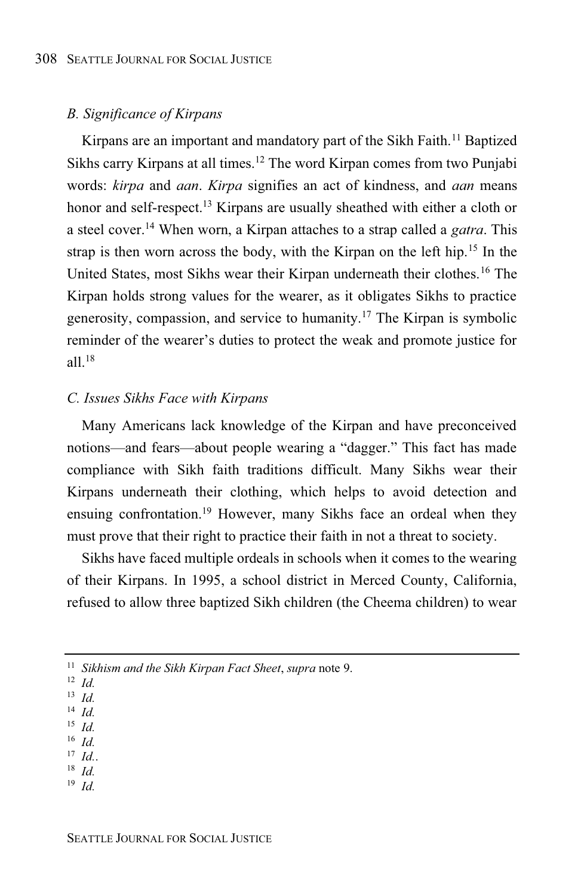## *B. Significance of Kirpans*

Kirpans are an important and mandatory part of the Sikh Faith. <sup>11</sup> Baptized Sikhs carry Kirpans at all times. <sup>12</sup> The word Kirpan comes from two Punjabi words: *kirpa* and *aan*. *Kirpa* signifies an act of kindness, and *aan* means honor and self-respect.<sup>13</sup> Kirpans are usually sheathed with either a cloth or a steel cover.<sup>14</sup> When worn, a Kirpan attaches to a strap called a *gatra*. This strap is then worn across the body, with the Kirpan on the left hip.<sup>15</sup> In the United States, most Sikhs wear their Kirpan underneath their clothes.<sup>16</sup> The Kirpan holds strong values for the wearer, as it obligates Sikhs to practice generosity, compassion, and service to humanity. <sup>17</sup> The Kirpan is symbolic reminder of the wearer's duties to protect the weak and promote justice for  $all.<sup>18</sup>$ 

#### *C. Issues Sikhs Face with Kirpans*

Many Americans lack knowledge of the Kirpan and have preconceived notions—and fears—about people wearing a "dagger." This fact has made compliance with Sikh faith traditions difficult. Many Sikhs wear their Kirpans underneath their clothing, which helps to avoid detection and ensuing confrontation.<sup>19</sup> However, many Sikhs face an ordeal when they must prove that their right to practice their faith in not a threat to society.

Sikhs have faced multiple ordeals in schools when it comes to the wearing of their Kirpans. In 1995, a school district in Merced County, California, refused to allow three baptized Sikh children (the Cheema children) to wear

<sup>13</sup> *Id.*

- <sup>15</sup> *Id.*
- <sup>16</sup> *Id.*
- $17$  *Id.*. <sup>18</sup> *Id.*
- <sup>19</sup> *Id.*
- 

<sup>11</sup> *Sikhism and the Sikh Kirpan Fact Sheet*, *supra* note 9.

<sup>12</sup> *Id.*

<sup>14</sup> *Id.*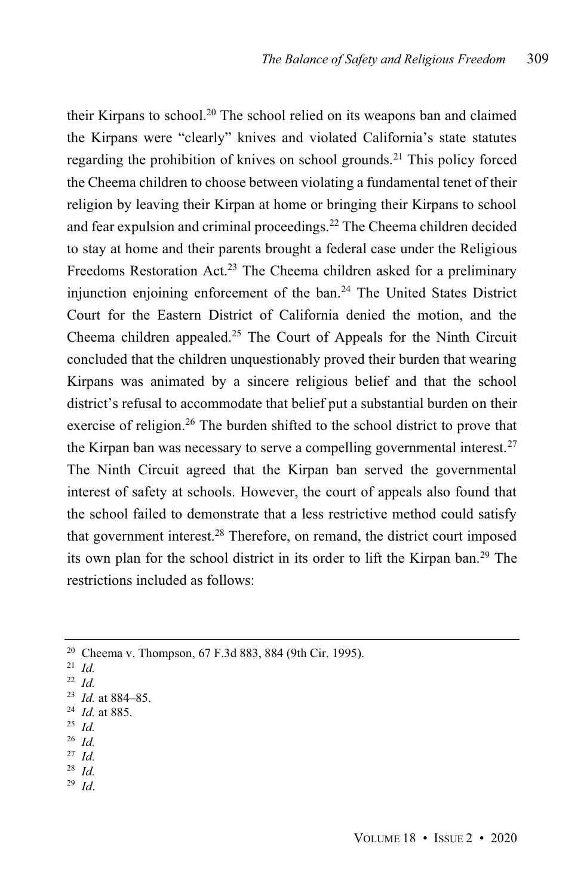their Kirpans to school. <sup>20</sup> The school relied on its weapons ban and claimed the Kirpans were "clearly" knives and violated California's state statutes regarding the prohibition of knives on school grounds. <sup>21</sup> This policy forced the Cheema children to choose between violating a fundamental tenet of their religion by leaving their Kirpan at home or bringing their Kirpans to school and fear expulsion and criminal proceedings. <sup>22</sup> The Cheema children decided to stay at home and their parents brought a federal case under the Religious Freedoms Restoration Act.<sup>23</sup> The Cheema children asked for a preliminary injunction enjoining enforcement of the ban.<sup>24</sup> The United States District Court for the Eastern District of California denied the motion, and the Cheema children appealed. <sup>25</sup> The Court of Appeals for the Ninth Circuit concluded that the children unquestionably proved their burden that wearing Kirpans was animated by a sincere religious belief and that the school district's refusal to accommodate that belief put a substantial burden on their exercise of religion.<sup>26</sup> The burden shifted to the school district to prove that the Kirpan ban was necessary to serve a compelling governmental interest. $27$ The Ninth Circuit agreed that the Kirpan ban served the governmental interest of safety at schools. However, the court of appeals also found that the school failed to demonstrate that a less restrictive method could satisfy that government interest.<sup>28</sup> Therefore, on remand, the district court imposed its own plan for the school district in its order to lift the Kirpan ban.<sup>29</sup> The restrictions included as follows:

- <sup>25</sup> *Id.*
- <sup>26</sup> *Id.*
- <sup>27</sup> *Id.* <sup>28</sup> *Id.*
- <sup>29</sup> *Id*.

<sup>20</sup> Cheema v. Thompson, 67 F.3d 883, 884 (9th Cir. 1995).

<sup>21</sup> *Id.*

<sup>22</sup> *Id.*

<sup>23</sup> *Id.* at 884–85.

<sup>24</sup> *Id.* at 885.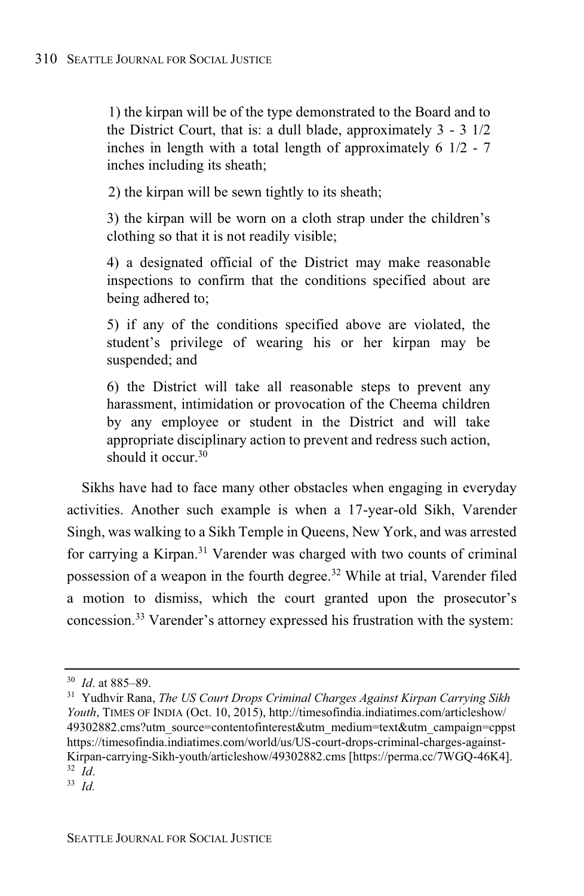1) the kirpan will be of the type demonstrated to the Board and to the District Court, that is: a dull blade, approximately 3 - 3 1/2 inches in length with a total length of approximately 6 1/2 - 7 inches including its sheath;

2) the kirpan will be sewn tightly to its sheath;

3) the kirpan will be worn on a cloth strap under the children's clothing so that it is not readily visible;

4) a designated official of the District may make reasonable inspections to confirm that the conditions specified about are being adhered to;

5) if any of the conditions specified above are violated, the student's privilege of wearing his or her kirpan may be suspended; and

6) the District will take all reasonable steps to prevent any harassment, intimidation or provocation of the Cheema children by any employee or student in the District and will take appropriate disciplinary action to prevent and redress such action, should it occur.<sup>30</sup>

Sikhs have had to face many other obstacles when engaging in everyday activities. Another such example is when a 17-year-old Sikh, Varender Singh, was walking to a Sikh Temple in Queens, New York, and was arrested for carrying a Kirpan.<sup>31</sup> Varender was charged with two counts of criminal possession of a weapon in the fourth degree. <sup>32</sup> While at trial, Varender filed a motion to dismiss, which the court granted upon the prosecutor's concession. <sup>33</sup> Varender's attorney expressed his frustration with the system:

<sup>30</sup> *Id*. at 885–89.

<sup>31</sup> Yudhvir Rana, *The US Court Drops Criminal Charges Against Kirpan Carrying Sikh Youth*, TIMES OF INDIA (Oct. 10, 2015), http://timesofindia.indiatimes.com/articleshow/ 49302882.cms?utm\_source=contentofinterest&utm\_medium=text&utm\_campaign=cppst https://timesofindia.indiatimes.com/world/us/US-court-drops-criminal-charges-against-Kirpan-carrying-Sikh-youth/articleshow/49302882.cms [https://perma.cc/7WGQ-46K4]. <sup>32</sup> *Id*.

<sup>33</sup> *Id.*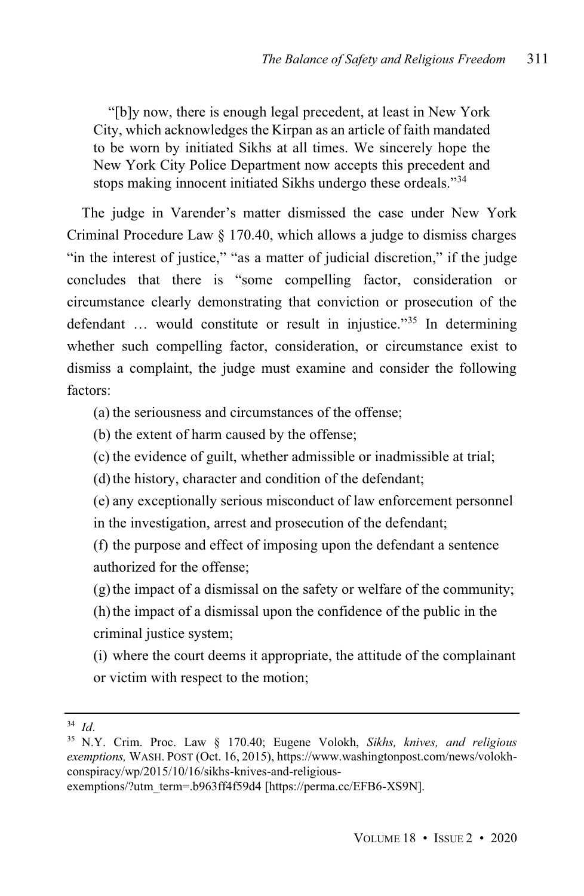"[b]y now, there is enough legal precedent, at least in New York City, which acknowledges the Kirpan as an article of faith mandated to be worn by initiated Sikhs at all times. We sincerely hope the New York City Police Department now accepts this precedent and stops making innocent initiated Sikhs undergo these ordeals."<sup>34</sup>

The judge in Varender's matter dismissed the case under New York Criminal Procedure Law § 170.40, which allows a judge to dismiss charges "in the interest of justice," "as a matter of judicial discretion," if the judge concludes that there is "some compelling factor, consideration or circumstance clearly demonstrating that conviction or prosecution of the defendant … would constitute or result in injustice." <sup>35</sup> In determining whether such compelling factor, consideration, or circumstance exist to dismiss a complaint, the judge must examine and consider the following factors:

(a) the seriousness and circumstances of the offense;

(b) the extent of harm caused by the offense;

(c) the evidence of guilt, whether admissible or inadmissible at trial;

(d) the history, character and condition of the defendant;

(e) any exceptionally serious misconduct of law enforcement personnel in the investigation, arrest and prosecution of the defendant;

(f) the purpose and effect of imposing upon the defendant a sentence authorized for the offense;

(g)the impact of a dismissal on the safety or welfare of the community;

(h)the impact of a dismissal upon the confidence of the public in the criminal justice system;

(i) where the court deems it appropriate, the attitude of the complainant or victim with respect to the motion;

<sup>34</sup> *Id*.

<sup>35</sup> N.Y. Crim. Proc. Law § 170.40; Eugene Volokh, *Sikhs, knives, and religious exemptions,* WASH. POST (Oct. 16, 2015), https://www.washingtonpost.com/news/volokhconspiracy/wp/2015/10/16/sikhs-knives-and-religious-

exemptions/?utm\_term=.b963ff4f59d4 [https://perma.cc/EFB6-XS9N].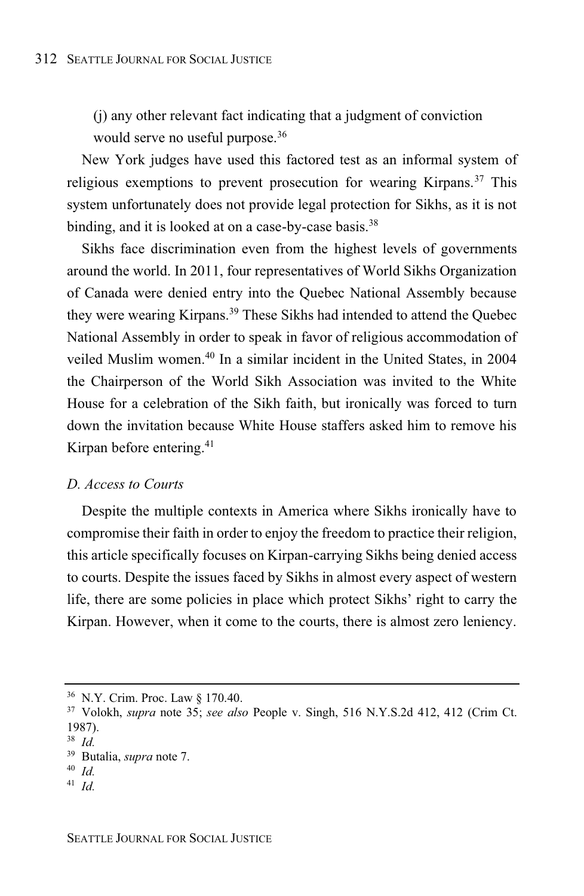(j) any other relevant fact indicating that a judgment of conviction would serve no useful purpose.<sup>36</sup>

New York judges have used this factored test as an informal system of religious exemptions to prevent prosecution for wearing Kirpans.<sup>37</sup> This system unfortunately does not provide legal protection for Sikhs, as it is not binding, and it is looked at on a case-by-case basis.<sup>38</sup>

Sikhs face discrimination even from the highest levels of governments around the world. In 2011, four representatives of World Sikhs Organization of Canada were denied entry into the Quebec National Assembly because they were wearing Kirpans. <sup>39</sup> These Sikhs had intended to attend the Quebec National Assembly in order to speak in favor of religious accommodation of veiled Muslim women.<sup>40</sup> In a similar incident in the United States, in 2004 the Chairperson of the World Sikh Association was invited to the White House for a celebration of the Sikh faith, but ironically was forced to turn down the invitation because White House staffers asked him to remove his Kirpan before entering. 41

# *D. Access to Courts*

Despite the multiple contexts in America where Sikhs ironically have to compromise their faith in order to enjoy the freedom to practice their religion, this article specifically focuses on Kirpan-carrying Sikhs being denied access to courts. Despite the issues faced by Sikhs in almost every aspect of western life, there are some policies in place which protect Sikhs' right to carry the Kirpan. However, when it come to the courts, there is almost zero leniency.

<sup>36</sup> N.Y. Crim. Proc. Law § 170.40.

<sup>37</sup> Volokh, *supra* note 35; *see also* People v. Singh, 516 N.Y.S.2d 412, 412 (Crim Ct. 1987).

<sup>38</sup> *Id.*

<sup>39</sup> Butalia, *supra* note 7.

<sup>40</sup> *Id.*

<sup>41</sup> *Id.*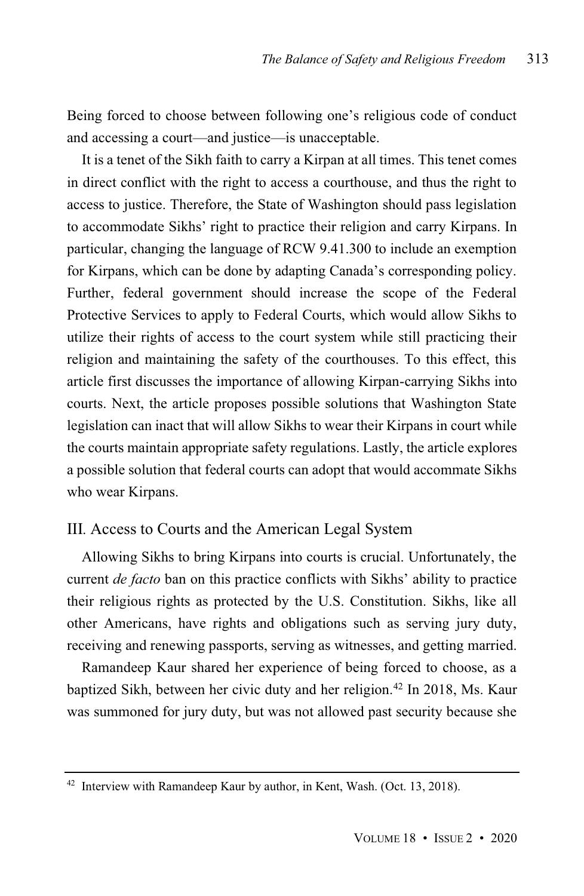Being forced to choose between following one's religious code of conduct and accessing a court—and justice—is unacceptable.

It is a tenet of the Sikh faith to carry a Kirpan at all times. This tenet comes in direct conflict with the right to access a courthouse, and thus the right to access to justice. Therefore, the State of Washington should pass legislation to accommodate Sikhs' right to practice their religion and carry Kirpans. In particular, changing the language of RCW 9.41.300 to include an exemption for Kirpans, which can be done by adapting Canada's corresponding policy. Further, federal government should increase the scope of the Federal Protective Services to apply to Federal Courts, which would allow Sikhs to utilize their rights of access to the court system while still practicing their religion and maintaining the safety of the courthouses. To this effect, this article first discusses the importance of allowing Kirpan-carrying Sikhs into courts. Next, the article proposes possible solutions that Washington State legislation can inact that will allow Sikhs to wear their Kirpans in court while the courts maintain appropriate safety regulations. Lastly, the article explores a possible solution that federal courts can adopt that would accommate Sikhs who wear Kirpans.

# III*.* Access to Courts and the American Legal System

Allowing Sikhs to bring Kirpans into courts is crucial. Unfortunately, the current *de facto* ban on this practice conflicts with Sikhs' ability to practice their religious rights as protected by the U.S. Constitution. Sikhs, like all other Americans, have rights and obligations such as serving jury duty, receiving and renewing passports, serving as witnesses, and getting married.

Ramandeep Kaur shared her experience of being forced to choose, as a baptized Sikh, between her civic duty and her religion.<sup>42</sup> In 2018, Ms. Kaur was summoned for jury duty, but was not allowed past security because she

<sup>&</sup>lt;sup>42</sup> Interview with Ramandeep Kaur by author, in Kent, Wash. (Oct. 13, 2018).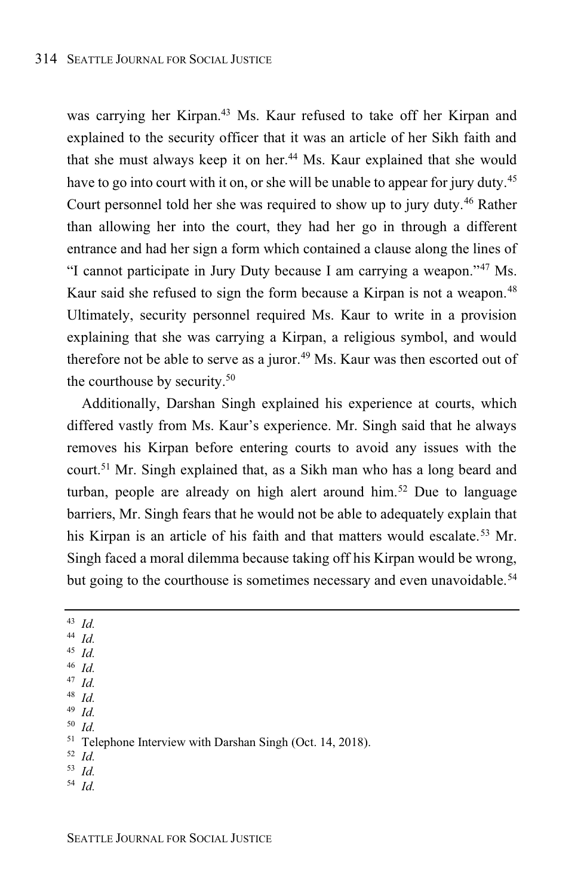was carrying her Kirpan.<sup>43</sup> Ms. Kaur refused to take off her Kirpan and explained to the security officer that it was an article of her Sikh faith and that she must always keep it on her.<sup>44</sup> Ms. Kaur explained that she would have to go into court with it on, or she will be unable to appear for jury duty.<sup>45</sup> Court personnel told her she was required to show up to jury duty. <sup>46</sup> Rather than allowing her into the court, they had her go in through a different entrance and had her sign a form which contained a clause along the lines of "I cannot participate in Jury Duty because I am carrying a weapon." <sup>47</sup> Ms. Kaur said she refused to sign the form because a Kirpan is not a weapon.<sup>48</sup> Ultimately, security personnel required Ms. Kaur to write in a provision explaining that she was carrying a Kirpan, a religious symbol, and would therefore not be able to serve as a juror. <sup>49</sup> Ms. Kaur was then escorted out of the courthouse by security. 50

Additionally, Darshan Singh explained his experience at courts, which differed vastly from Ms. Kaur's experience. Mr. Singh said that he always removes his Kirpan before entering courts to avoid any issues with the court.<sup>51</sup> Mr. Singh explained that, as a Sikh man who has a long beard and turban, people are already on high alert around him.<sup>52</sup> Due to language barriers, Mr. Singh fears that he would not be able to adequately explain that his Kirpan is an article of his faith and that matters would escalate. <sup>53</sup> Mr. Singh faced a moral dilemma because taking off his Kirpan would be wrong, but going to the courthouse is sometimes necessary and even unavoidable.<sup>54</sup>

- <sup>43</sup> *Id.*
- <sup>44</sup> *Id.*
- <sup>45</sup> *Id.*
- <sup>46</sup> *Id.* <sup>47</sup> *Id.*
- <sup>48</sup> *Id.*
- <sup>49</sup> *Id.*

<sup>50</sup> *Id.*

- <sup>52</sup> *Id.*
- <sup>53</sup> *Id.*
- <sup>54</sup> *Id.*

<sup>51</sup> Telephone Interview with Darshan Singh (Oct. 14, 2018).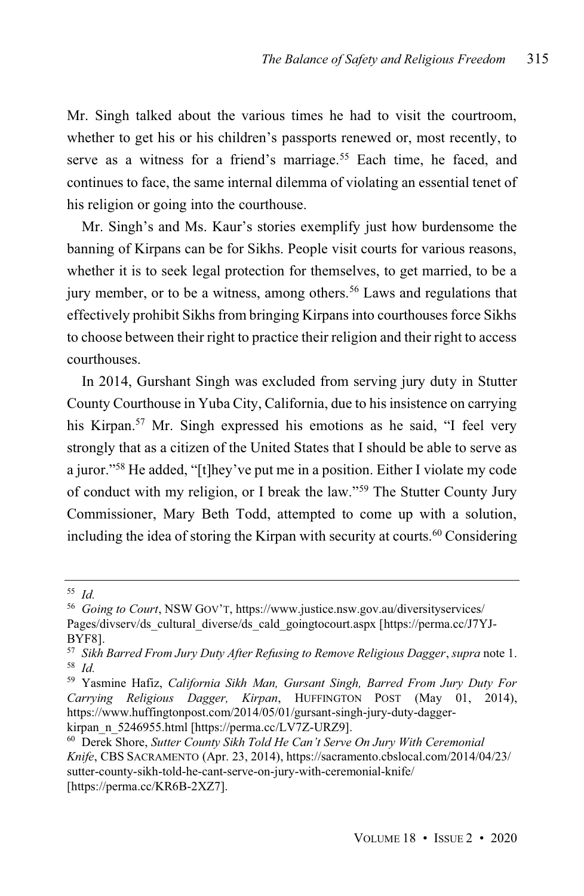Mr. Singh talked about the various times he had to visit the courtroom, whether to get his or his children's passports renewed or, most recently, to serve as a witness for a friend's marriage.<sup>55</sup> Each time, he faced, and continues to face, the same internal dilemma of violating an essential tenet of his religion or going into the courthouse.

Mr. Singh's and Ms. Kaur's stories exemplify just how burdensome the banning of Kirpans can be for Sikhs. People visit courts for various reasons, whether it is to seek legal protection for themselves, to get married, to be a jury member, or to be a witness, among others. <sup>56</sup> Laws and regulations that effectively prohibit Sikhs from bringing Kirpans into courthouses force Sikhs to choose between their right to practice their religion and their right to access courthouses.

In 2014, Gurshant Singh was excluded from serving jury duty in Stutter County Courthouse in Yuba City, California, due to hisinsistence on carrying his Kirpan.<sup>57</sup> Mr. Singh expressed his emotions as he said, "I feel very strongly that as a citizen of the United States that I should be able to serve as a juror." <sup>58</sup> He added, "[t]hey've put me in a position. Either I violate my code of conduct with my religion, or I break the law." <sup>59</sup> The Stutter County Jury Commissioner, Mary Beth Todd, attempted to come up with a solution, including the idea of storing the Kirpan with security at courts. <sup>60</sup> Considering

<sup>55</sup> *Id.*

<sup>56</sup> *Going to Court*, NSW GOV'T, https://www.justice.nsw.gov.au/diversityservices/ Pages/divserv/ds\_cultural\_diverse/ds\_cald\_goingtocourt.aspx [https://perma.cc/J7YJ-BYF8].

<sup>57</sup> *Sikh Barred From Jury Duty After Refusing to Remove Religious Dagger*, *supra* note 1. <sup>58</sup> *Id.*

<sup>59</sup> Yasmine Hafiz, *California Sikh Man, Gursant Singh, Barred From Jury Duty For Carrying Religious Dagger, Kirpan*, HUFFINGTON POST (May 01, 2014), https://www.huffingtonpost.com/2014/05/01/gursant-singh-jury-duty-dagger-

kirpan\_n\_5246955.html [https://perma.cc/LV7Z-URZ9].

<sup>60</sup> Derek Shore, *Sutter County Sikh Told He Can't Serve On Jury With Ceremonial Knife*, CBS SACRAMENTO (Apr. 23, 2014), https://sacramento.cbslocal.com/2014/04/23/ sutter-county-sikh-told-he-cant-serve-on-jury-with-ceremonial-knife/ [https://perma.cc/KR6B-2XZ7].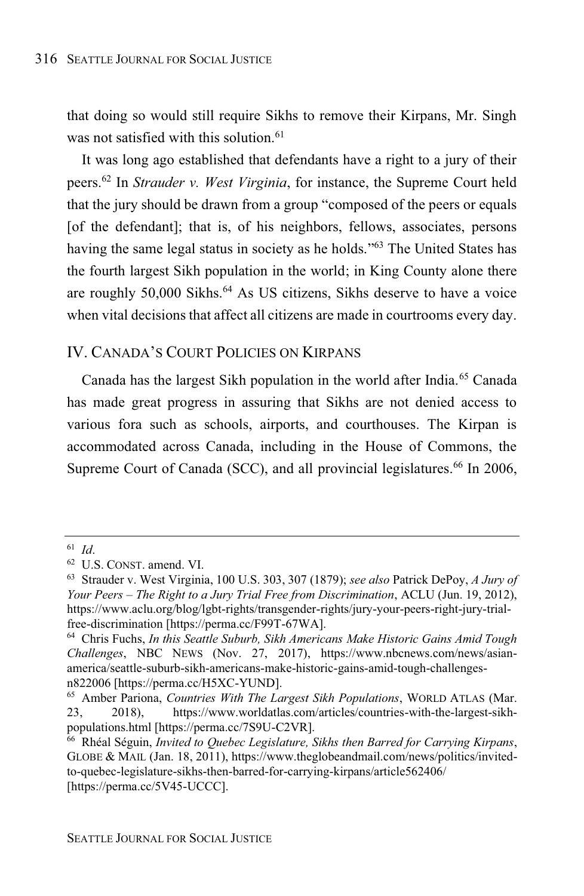that doing so would still require Sikhs to remove their Kirpans, Mr. Singh was not satisfied with this solution. 61

It was long ago established that defendants have a right to a jury of their peers. <sup>62</sup> In *Strauder v. West Virginia*, for instance, the Supreme Court held that the jury should be drawn from a group "composed of the peers or equals [of the defendant]; that is, of his neighbors, fellows, associates, persons having the same legal status in society as he holds."<sup>63</sup> The United States has the fourth largest Sikh population in the world; in King County alone there are roughly 50,000 Sikhs. <sup>64</sup> As US citizens, Sikhs deserve to have a voice when vital decisions that affect all citizens are made in courtrooms every day.

# IV. CANADA'S COURT POLICIES ON KIRPANS

Canada has the largest Sikh population in the world after India.<sup>65</sup> Canada has made great progress in assuring that Sikhs are not denied access to various fora such as schools, airports, and courthouses. The Kirpan is accommodated across Canada, including in the House of Commons, the Supreme Court of Canada (SCC), and all provincial legislatures.<sup>66</sup> In 2006,

<sup>61</sup> *Id*.

<sup>62</sup> U.S. CONST. amend. VI.

<sup>63</sup> Strauder v. West Virginia, 100 U.S. 303, 307 (1879); *see also* Patrick DePoy, *A Jury of Your Peers – The Right to a Jury Trial Free from Discrimination*, ACLU (Jun. 19, 2012), https://www.aclu.org/blog/lgbt-rights/transgender-rights/jury-your-peers-right-jury-trialfree-discrimination [https://perma.cc/F99T-67WA].

<sup>64</sup> Chris Fuchs, *In this Seattle Suburb, Sikh Americans Make Historic Gains Amid Tough Challenges*, NBC NEWS (Nov. 27, 2017), https://www.nbcnews.com/news/asianamerica/seattle-suburb-sikh-americans-make-historic-gains-amid-tough-challengesn822006 [https://perma.cc/H5XC-YUND].

<sup>65</sup> Amber Pariona, *Countries With The Largest Sikh Populations*, WORLD ATLAS (Mar. 23, 2018), https://www.worldatlas.com/articles/countries-with-the-largest-sikhpopulations.html [https://perma.cc/7S9U-C2VR].

<sup>66</sup> Rhéal Séguin, *Invited to Quebec Legislature, Sikhs then Barred for Carrying Kirpans*, GLOBE & MAIL (Jan. 18, 2011), https://www.theglobeandmail.com/news/politics/invitedto-quebec-legislature-sikhs-then-barred-for-carrying-kirpans/article562406/ [https://perma.cc/5V45-UCCC].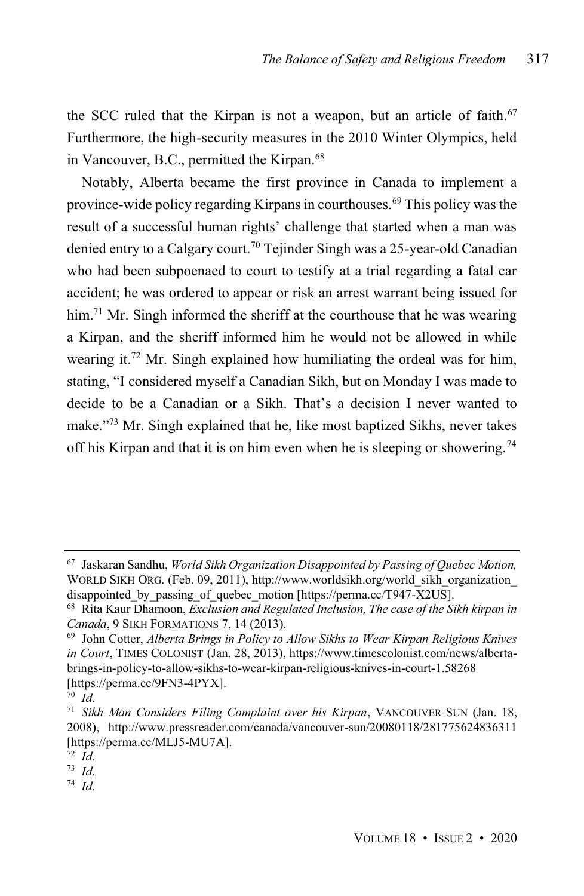the SCC ruled that the Kirpan is not a weapon, but an article of faith. 67 Furthermore, the high-security measures in the 2010 Winter Olympics, held in Vancouver, B.C., permitted the Kirpan.<sup>68</sup>

Notably, Alberta became the first province in Canada to implement a province-wide policy regarding Kirpans in courthouses.<sup>69</sup> This policy was the result of a successful human rights' challenge that started when a man was denied entry to a Calgary court.<sup>70</sup> Tejinder Singh was a 25-year-old Canadian who had been subpoenaed to court to testify at a trial regarding a fatal car accident; he was ordered to appear or risk an arrest warrant being issued for him.<sup>71</sup> Mr. Singh informed the sheriff at the courthouse that he was wearing a Kirpan, and the sheriff informed him he would not be allowed in while wearing it.<sup>72</sup> Mr. Singh explained how humiliating the ordeal was for him, stating, "I considered myself a Canadian Sikh, but on Monday I was made to decide to be a Canadian or a Sikh. That's a decision I never wanted to make."<sup>73</sup> Mr. Singh explained that he, like most baptized Sikhs, never takes off his Kirpan and that it is on him even when he is sleeping or showering.<sup>74</sup>

<sup>74</sup> *Id*.

<sup>67</sup> Jaskaran Sandhu, *World Sikh Organization Disappointed by Passing of Quebec Motion,* WORLD SIKH ORG. (Feb. 09, 2011), http://www.worldsikh.org/world\_sikh\_organization disappointed by passing of quebec\_motion [https://perma.cc/T947-X2US].

<sup>68</sup> Rita Kaur Dhamoon, *Exclusion and Regulated Inclusion, The case of the Sikh kirpan in Canada*, 9 SIKH FORMATIONS 7, 14 (2013).

<sup>69</sup> John Cotter, *Alberta Brings in Policy to Allow Sikhs to Wear Kirpan Religious Knives in Court*, TIMES COLONIST (Jan. 28, 2013), https://www.timescolonist.com/news/albertabrings-in-policy-to-allow-sikhs-to-wear-kirpan-religious-knives-in-court-1.58268 [https://perma.cc/9FN3-4PYX].

<sup>70</sup> *Id*.

<sup>71</sup> *Sikh Man Considers Filing Complaint over his Kirpan*, VANCOUVER SUN (Jan. 18, 2008), http://www.pressreader.com/canada/vancouver-sun/20080118/281775624836311 [https://perma.cc/MLJ5-MU7A].

<sup>72</sup> *Id*.

<sup>73</sup> *Id*.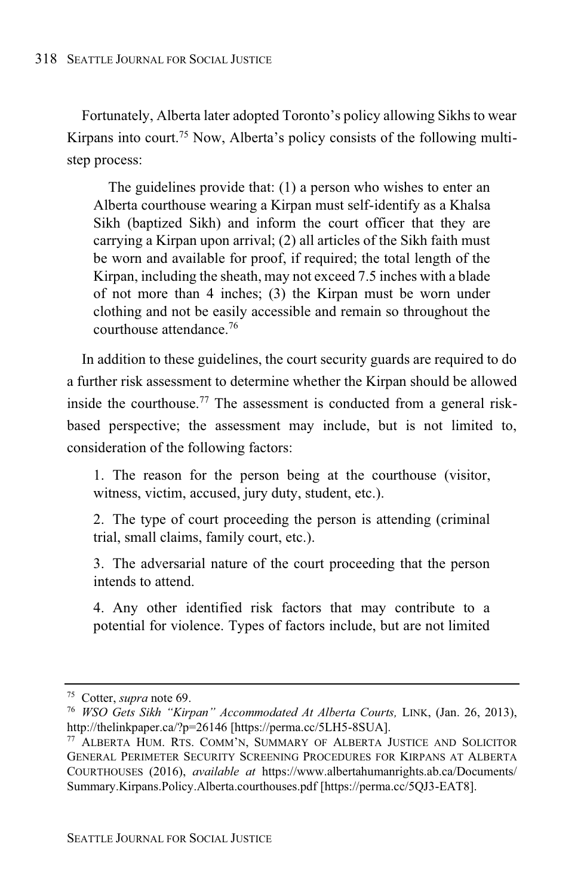Fortunately, Alberta later adopted Toronto's policy allowing Sikhs to wear Kirpans into court.<sup>75</sup> Now, Alberta's policy consists of the following multistep process:

The guidelines provide that: (1) a person who wishes to enter an Alberta courthouse wearing a Kirpan must self-identify as a Khalsa Sikh (baptized Sikh) and inform the court officer that they are carrying a Kirpan upon arrival; (2) all articles of the Sikh faith must be worn and available for proof, if required; the total length of the Kirpan, including the sheath, may not exceed 7.5 inches with a blade of not more than 4 inches; (3) the Kirpan must be worn under clothing and not be easily accessible and remain so throughout the courthouse attendance.<sup>76</sup>

In addition to these guidelines, the court security guards are required to do a further risk assessment to determine whether the Kirpan should be allowed inside the courthouse.<sup>77</sup> The assessment is conducted from a general riskbased perspective; the assessment may include, but is not limited to, consideration of the following factors:

1. The reason for the person being at the courthouse (visitor, witness, victim, accused, jury duty, student, etc.).

2. The type of court proceeding the person is attending (criminal trial, small claims, family court, etc.).

3. The adversarial nature of the court proceeding that the person intends to attend.

4. Any other identified risk factors that may contribute to a potential for violence. Types of factors include, but are not limited

<sup>75</sup> Cotter, *supra* note 69.

<sup>76</sup> *WSO Gets Sikh "Kirpan" Accommodated At Alberta Courts,* LINK, (Jan. 26, 2013), http://thelinkpaper.ca/?p=26146 [https://perma.cc/5LH5-8SUA].

<sup>77</sup> ALBERTA HUM. RTS. COMM'N, SUMMARY OF ALBERTA JUSTICE AND SOLICITOR GENERAL PERIMETER SECURITY SCREENING PROCEDURES FOR KIRPANS AT ALBERTA COURTHOUSES (2016), *available at* https://www.albertahumanrights.ab.ca/Documents/ Summary.Kirpans.Policy.Alberta.courthouses.pdf [https://perma.cc/5QJ3-EAT8].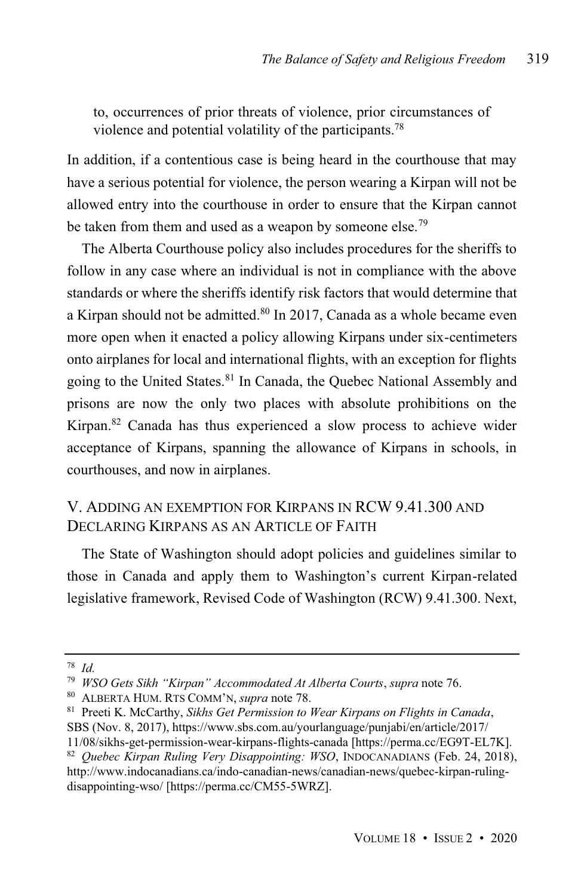to, occurrences of prior threats of violence, prior circumstances of violence and potential volatility of the participants.<sup>78</sup>

In addition, if a contentious case is being heard in the courthouse that may have a serious potential for violence, the person wearing a Kirpan will not be allowed entry into the courthouse in order to ensure that the Kirpan cannot be taken from them and used as a weapon by someone else.<sup>79</sup>

The Alberta Courthouse policy also includes procedures for the sheriffs to follow in any case where an individual is not in compliance with the above standards or where the sheriffs identify risk factors that would determine that a Kirpan should not be admitted.<sup>80</sup> In 2017, Canada as a whole became even more open when it enacted a policy allowing Kirpans under six-centimeters onto airplanes for local and international flights, with an exception for flights going to the United States. <sup>81</sup> In Canada, the Quebec National Assembly and prisons are now the only two places with absolute prohibitions on the Kirpan.<sup>82</sup> Canada has thus experienced a slow process to achieve wider acceptance of Kirpans, spanning the allowance of Kirpans in schools, in courthouses, and now in airplanes.

# V. ADDING AN EXEMPTION FOR KIRPANS IN RCW 9.41.300 AND DECLARING KIRPANS AS AN ARTICLE OF FAITH

The State of Washington should adopt policies and guidelines similar to those in Canada and apply them to Washington's current Kirpan-related legislative framework, Revised Code of Washington (RCW) 9.41.300. Next,

<sup>78</sup> *Id.*

<sup>79</sup> *WSO Gets Sikh "Kirpan" Accommodated At Alberta Courts*, *supra* note 76.

<sup>80</sup> ALBERTA HUM. RTS COMM'N, *supra* note 78.

<sup>81</sup> Preeti K. McCarthy, *Sikhs Get Permission to Wear Kirpans on Flights in Canada*, SBS (Nov. 8, 2017), https://www.sbs.com.au/yourlanguage/punjabi/en/article/2017/

<sup>11/08/</sup>sikhs-get-permission-wear-kirpans-flights-canada [https://perma.cc/EG9T-EL7K].

<sup>82</sup> *Quebec Kirpan Ruling Very Disappointing: WSO*, INDOCANADIANS (Feb. 24, 2018), http://www.indocanadians.ca/indo-canadian-news/canadian-news/quebec-kirpan-rulingdisappointing-wso/ [https://perma.cc/CM55-5WRZ].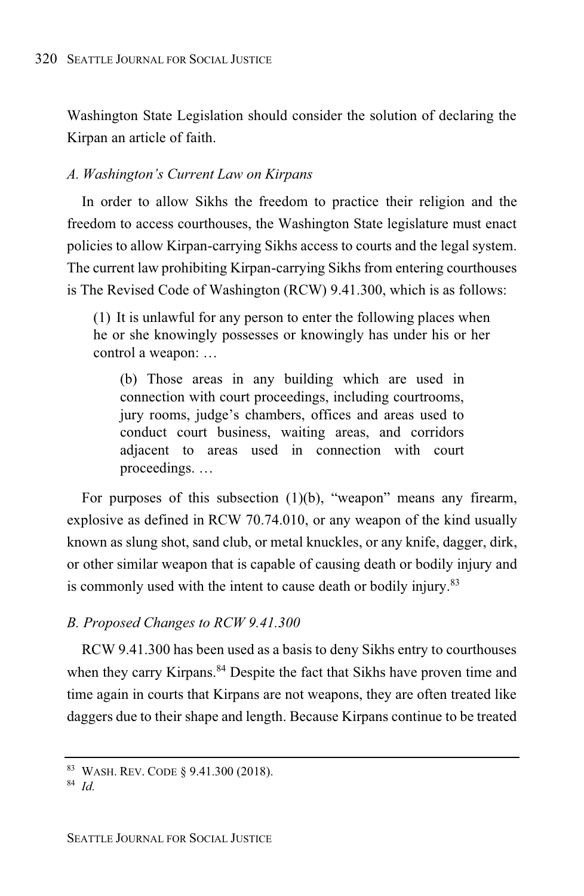Washington State Legislation should consider the solution of declaring the Kirpan an article of faith.

# *A. Washington's Current Law on Kirpans*

In order to allow Sikhs the freedom to practice their religion and the freedom to access courthouses, the Washington State legislature must enact policies to allow Kirpan-carrying Sikhs access to courts and the legal system. The current law prohibiting Kirpan-carrying Sikhs from entering courthouses is The Revised Code of Washington (RCW) 9.41.300, which is as follows:

(1) It is unlawful for any person to enter the following places when he or she knowingly possesses or knowingly has under his or her control a weapon: …

(b) Those areas in any building which are used in connection with court proceedings, including courtrooms, jury rooms, judge's chambers, offices and areas used to conduct court business, waiting areas, and corridors adjacent to areas used in connection with court proceedings. …

For purposes of this subsection (1)(b), "weapon" means any firearm, explosive as defined in RCW 70.74.010, or any weapon of the kind usually known as slung shot, sand club, or metal knuckles, or any knife, dagger, dirk, or other similar weapon that is capable of causing death or bodily injury and is commonly used with the intent to cause death or bodily injury.<sup>83</sup>

# *B. Proposed Changes to RCW 9.41.300*

RCW 9.41.300 has been used as a basis to deny Sikhs entry to courthouses when they carry Kirpans.<sup>84</sup> Despite the fact that Sikhs have proven time and time again in courts that Kirpans are not weapons, they are often treated like daggers due to their shape and length. Because Kirpans continue to be treated

<sup>83</sup> WASH. REV. CODE § 9.41.300 (2018).

<sup>84</sup> *Id.*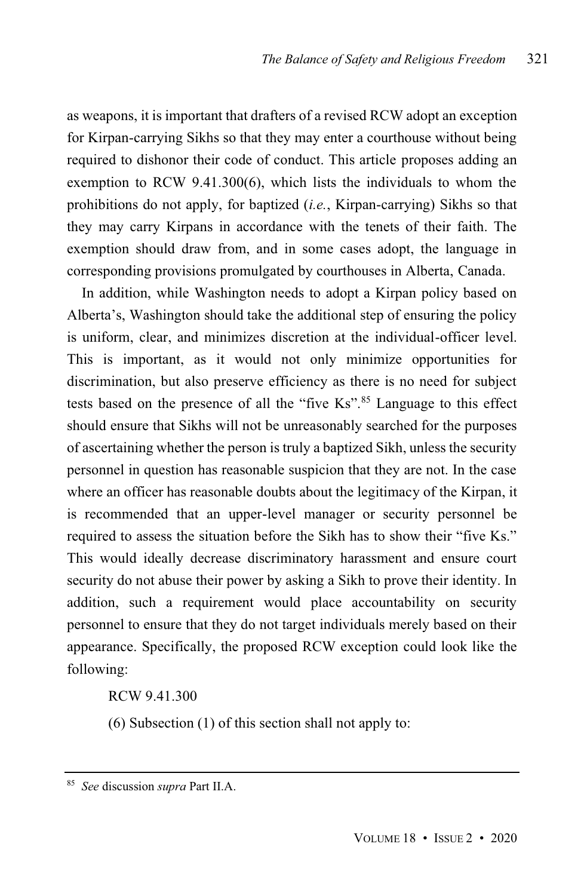as weapons, it is important that drafters of a revised RCW adopt an exception for Kirpan-carrying Sikhs so that they may enter a courthouse without being required to dishonor their code of conduct. This article proposes adding an exemption to RCW 9.41.300(6), which lists the individuals to whom the prohibitions do not apply, for baptized (*i.e.*, Kirpan-carrying) Sikhs so that they may carry Kirpans in accordance with the tenets of their faith. The exemption should draw from, and in some cases adopt, the language in corresponding provisions promulgated by courthouses in Alberta, Canada.

In addition, while Washington needs to adopt a Kirpan policy based on Alberta's, Washington should take the additional step of ensuring the policy is uniform, clear, and minimizes discretion at the individual-officer level. This is important, as it would not only minimize opportunities for discrimination, but also preserve efficiency as there is no need for subject tests based on the presence of all the "five Ks".<sup>85</sup> Language to this effect should ensure that Sikhs will not be unreasonably searched for the purposes of ascertaining whether the person is truly a baptized Sikh, unless the security personnel in question has reasonable suspicion that they are not. In the case where an officer has reasonable doubts about the legitimacy of the Kirpan, it is recommended that an upper-level manager or security personnel be required to assess the situation before the Sikh has to show their "five Ks." This would ideally decrease discriminatory harassment and ensure court security do not abuse their power by asking a Sikh to prove their identity. In addition, such a requirement would place accountability on security personnel to ensure that they do not target individuals merely based on their appearance. Specifically, the proposed RCW exception could look like the following:

RCW 9.41.300

(6) Subsection (1) of this section shall not apply to:

<sup>85</sup> *See* discussion *supra* Part II.A.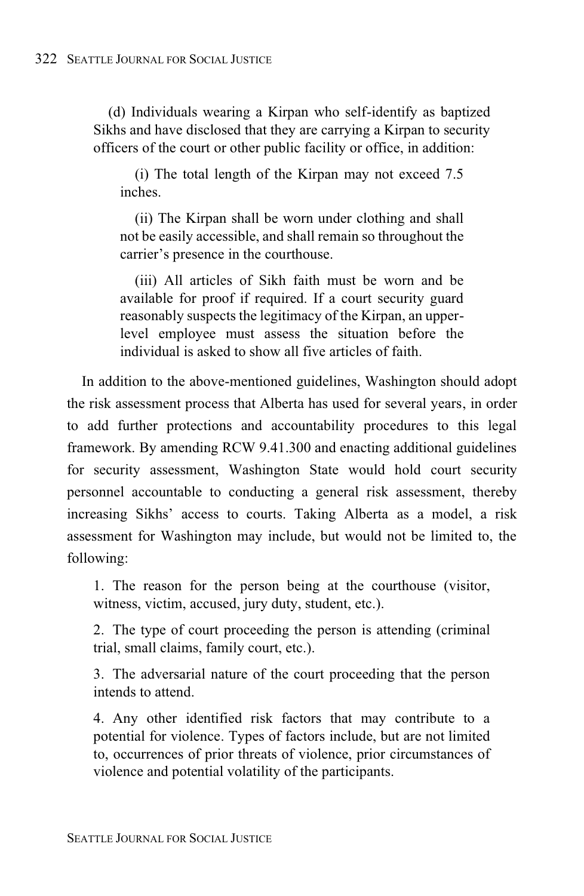(d) Individuals wearing a Kirpan who self-identify as baptized Sikhs and have disclosed that they are carrying a Kirpan to security officers of the court or other public facility or office, in addition:

(i) The total length of the Kirpan may not exceed 7.5 inches.

(ii) The Kirpan shall be worn under clothing and shall not be easily accessible, and shall remain so throughout the carrier's presence in the courthouse.

(iii) All articles of Sikh faith must be worn and be available for proof if required. If a court security guard reasonably suspects the legitimacy of the Kirpan, an upperlevel employee must assess the situation before the individual is asked to show all five articles of faith.

In addition to the above-mentioned guidelines, Washington should adopt the risk assessment process that Alberta has used for several years, in order to add further protections and accountability procedures to this legal framework. By amending RCW 9.41.300 and enacting additional guidelines for security assessment, Washington State would hold court security personnel accountable to conducting a general risk assessment, thereby increasing Sikhs' access to courts. Taking Alberta as a model, a risk assessment for Washington may include, but would not be limited to, the following:

1. The reason for the person being at the courthouse (visitor, witness, victim, accused, jury duty, student, etc.).

2. The type of court proceeding the person is attending (criminal trial, small claims, family court, etc.).

3. The adversarial nature of the court proceeding that the person intends to attend.

4. Any other identified risk factors that may contribute to a potential for violence. Types of factors include, but are not limited to, occurrences of prior threats of violence, prior circumstances of violence and potential volatility of the participants.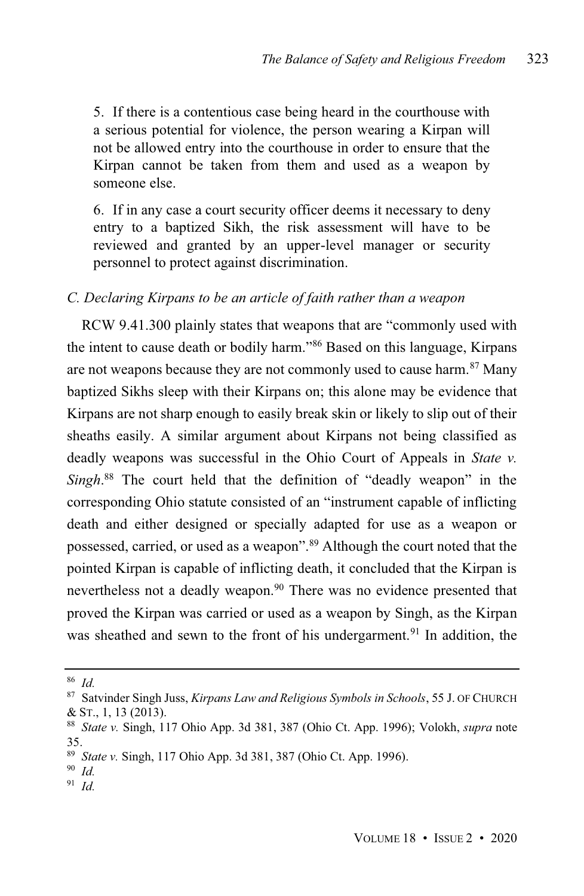5. If there is a contentious case being heard in the courthouse with a serious potential for violence, the person wearing a Kirpan will not be allowed entry into the courthouse in order to ensure that the Kirpan cannot be taken from them and used as a weapon by someone else.

6. If in any case a court security officer deems it necessary to deny entry to a baptized Sikh, the risk assessment will have to be reviewed and granted by an upper-level manager or security personnel to protect against discrimination.

# *C. Declaring Kirpans to be an article of faith rather than a weapon*

RCW 9.41.300 plainly states that weapons that are "commonly used with the intent to cause death or bodily harm." <sup>86</sup> Based on this language, Kirpans are not weapons because they are not commonly used to cause harm.<sup>87</sup> Many baptized Sikhs sleep with their Kirpans on; this alone may be evidence that Kirpans are not sharp enough to easily break skin or likely to slip out of their sheaths easily. A similar argument about Kirpans not being classified as deadly weapons was successful in the Ohio Court of Appeals in *State v. Singh*. <sup>88</sup> The court held that the definition of "deadly weapon" in the corresponding Ohio statute consisted of an "instrument capable of inflicting death and either designed or specially adapted for use as a weapon or possessed, carried, or used as a weapon". <sup>89</sup> Although the court noted that the pointed Kirpan is capable of inflicting death, it concluded that the Kirpan is nevertheless not a deadly weapon.<sup>90</sup> There was no evidence presented that proved the Kirpan was carried or used as a weapon by Singh, as the Kirpan was sheathed and sewn to the front of his undergarment.<sup>91</sup> In addition, the

<sup>86</sup> *Id.*

<sup>87</sup> Satvinder Singh Juss, *Kirpans Law and Religious Symbols in Schools*, 55 J. OF CHURCH & ST., 1, 13 (2013).

<sup>88</sup> *State v.* Singh, 117 Ohio App. 3d 381, 387 (Ohio Ct. App. 1996); Volokh, *supra* note 35.

<sup>89</sup> *State v.* Singh, 117 Ohio App. 3d 381, 387 (Ohio Ct. App. 1996).

<sup>90</sup> *Id.*

<sup>91</sup> *Id.*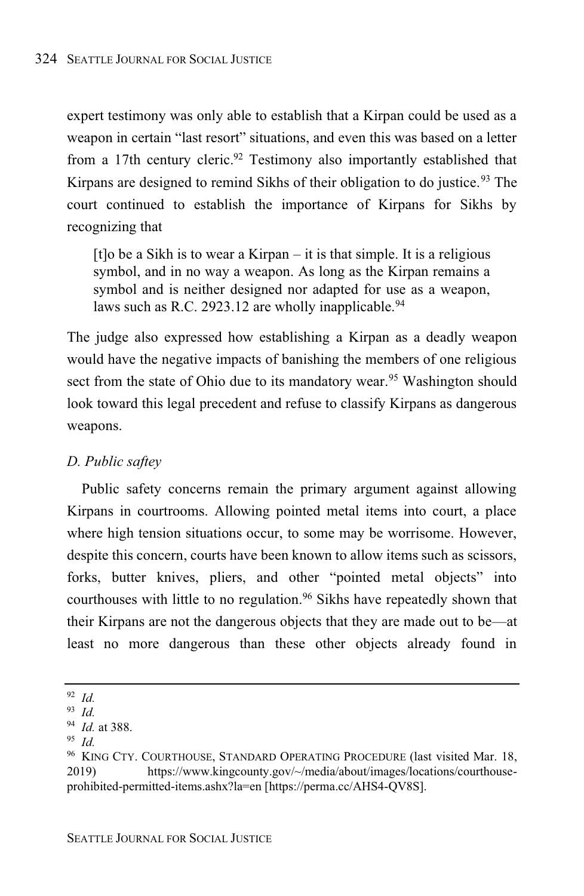expert testimony was only able to establish that a Kirpan could be used as a weapon in certain "last resort" situations, and even this was based on a letter from a 17th century cleric.<sup>92</sup> Testimony also importantly established that Kirpans are designed to remind Sikhs of their obligation to do justice.<sup>93</sup> The court continued to establish the importance of Kirpans for Sikhs by recognizing that

[t]o be a Sikh is to wear a Kirpan – it is that simple. It is a religious symbol, and in no way a weapon. As long as the Kirpan remains a symbol and is neither designed nor adapted for use as a weapon, laws such as R.C. 2923.12 are wholly inapplicable.<sup>94</sup>

The judge also expressed how establishing a Kirpan as a deadly weapon would have the negative impacts of banishing the members of one religious sect from the state of Ohio due to its mandatory wear.<sup>95</sup> Washington should look toward this legal precedent and refuse to classify Kirpans as dangerous weapons.

# *D. Public saftey*

Public safety concerns remain the primary argument against allowing Kirpans in courtrooms. Allowing pointed metal items into court, a place where high tension situations occur, to some may be worrisome. However, despite this concern, courts have been known to allow items such as scissors, forks, butter knives, pliers, and other "pointed metal objects" into courthouses with little to no regulation.<sup>96</sup> Sikhs have repeatedly shown that their Kirpans are not the dangerous objects that they are made out to be—at least no more dangerous than these other objects already found in

<sup>92</sup> *Id.*

<sup>93</sup> *Id.*

<sup>94</sup> *Id.* at 388.

<sup>95</sup> *Id.*

<sup>96</sup> KING CTY. COURTHOUSE, STANDARD OPERATING PROCEDURE (last visited Mar. 18, 2019) https://www.kingcounty.gov/~/media/about/images/locations/courthouseprohibited-permitted-items.ashx?la=en [https://perma.cc/AHS4-QV8S].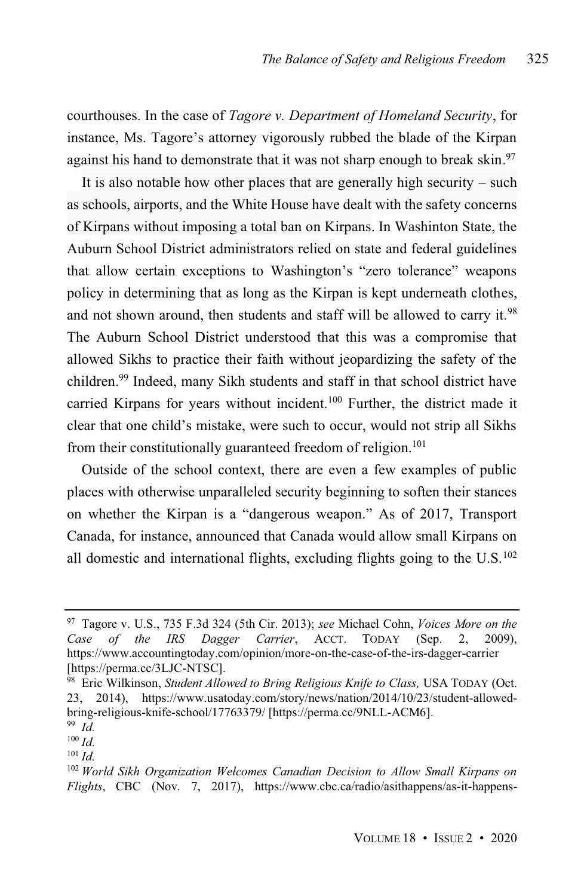courthouses. In the case of *Tagore v. Department of Homeland Security*, for instance, Ms. Tagore's attorney vigorously rubbed the blade of the Kirpan against his hand to demonstrate that it was not sharp enough to break skin.<sup>97</sup>

It is also notable how other places that are generally high security – such as schools, airports, and the White House have dealt with the safety concerns of Kirpans without imposing a total ban on Kirpans. In Washinton State, the Auburn School District administrators relied on state and federal guidelines that allow certain exceptions to Washington's "zero tolerance" weapons policy in determining that as long as the Kirpan is kept underneath clothes, and not shown around, then students and staff will be allowed to carry it.<sup>98</sup> The Auburn School District understood that this was a compromise that allowed Sikhs to practice their faith without jeopardizing the safety of the children.<sup>99</sup> Indeed, many Sikh students and staff in that school district have carried Kirpans for years without incident.<sup>100</sup> Further, the district made it clear that one child's mistake, were such to occur, would not strip all Sikhs from their constitutionally guaranteed freedom of religion.<sup>101</sup>

Outside of the school context, there are even a few examples of public places with otherwise unparalleled security beginning to soften their stances on whether the Kirpan is a "dangerous weapon." As of 2017, Transport Canada, for instance, announced that Canada would allow small Kirpans on all domestic and international flights, excluding flights going to the  $U.S.<sup>102</sup>$ 

<sup>97</sup> Tagore v. U.S., 735 F.3d 324 (5th Cir. 2013); *see* Michael Cohn, *Voices More on the Case of the IRS Dagger Carrier*, ACCT. TODAY (Sep. 2, 2009), https://www.accountingtoday.com/opinion/more-on-the-case-of-the-irs-dagger-carrier [https://perma.cc/3LJC-NTSC].

<sup>98</sup> Eric Wilkinson, *Student Allowed to Bring Religious Knife to Class,* USA TODAY (Oct. 23, 2014), https://www.usatoday.com/story/news/nation/2014/10/23/student-allowedbring-religious-knife-school/17763379/ [https://perma.cc/9NLL-ACM6].

<sup>99</sup> *Id.* <sup>100</sup> *Id.*

 $101$  *Id.* 

<sup>102</sup> *World Sikh Organization Welcomes Canadian Decision to Allow Small Kirpans on Flights*, CBC (Nov. 7, 2017), https://www.cbc.ca/radio/asithappens/as-it-happens-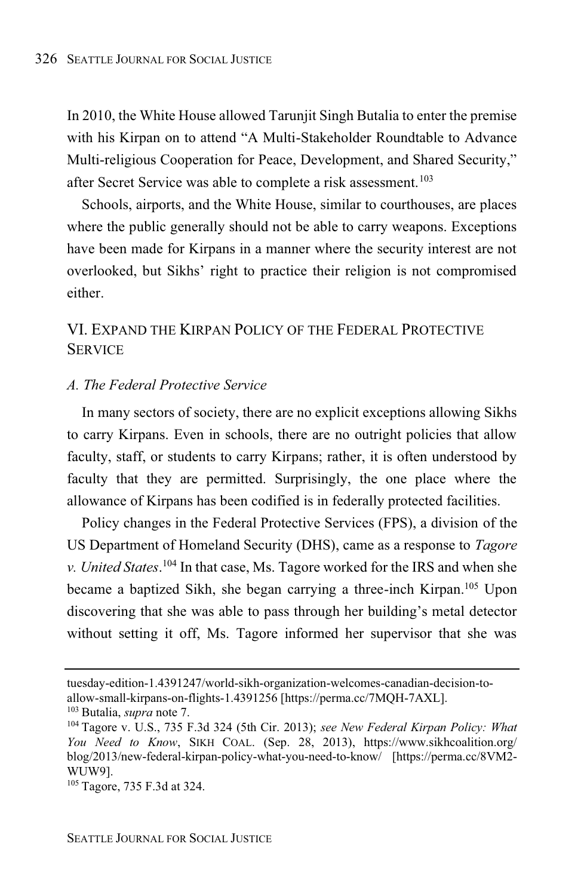In 2010, the White House allowed Tarunjit Singh Butalia to enter the premise with his Kirpan on to attend "A Multi-Stakeholder Roundtable to Advance Multi-religious Cooperation for Peace, Development, and Shared Security," after Secret Service was able to complete a risk assessment. 103

Schools, airports, and the White House, similar to courthouses, are places where the public generally should not be able to carry weapons. Exceptions have been made for Kirpans in a manner where the security interest are not overlooked, but Sikhs' right to practice their religion is not compromised either.

# VI. EXPAND THE KIRPAN POLICY OF THE FEDERAL PROTECTIVE **SERVICE**

# *A. The Federal Protective Service*

In many sectors of society, there are no explicit exceptions allowing Sikhs to carry Kirpans. Even in schools, there are no outright policies that allow faculty, staff, or students to carry Kirpans; rather, it is often understood by faculty that they are permitted. Surprisingly, the one place where the allowance of Kirpans has been codified is in federally protected facilities.

Policy changes in the Federal Protective Services (FPS), a division of the US Department of Homeland Security (DHS), came as a response to *Tagore v. United States*. <sup>104</sup> In that case, Ms. Tagore worked for the IRS and when she became a baptized Sikh, she began carrying a three-inch Kirpan.<sup>105</sup> Upon discovering that she was able to pass through her building's metal detector without setting it off, Ms. Tagore informed her supervisor that she was

tuesday-edition-1.4391247/world-sikh-organization-welcomes-canadian-decision-toallow-small-kirpans-on-flights-1.4391256 [https://perma.cc/7MQH-7AXL].

<sup>103</sup> Butalia, *supra* note 7.

<sup>104</sup> Tagore v. U.S., 735 F.3d 324 (5th Cir. 2013); *see New Federal Kirpan Policy: What You Need to Know*, SIKH COAL. (Sep. 28, 2013), https://www.sikhcoalition.org/ blog/2013/new-federal-kirpan-policy-what-you-need-to-know/ [https://perma.cc/8VM2- WUW9].

<sup>105</sup> Tagore, 735 F.3d at 324.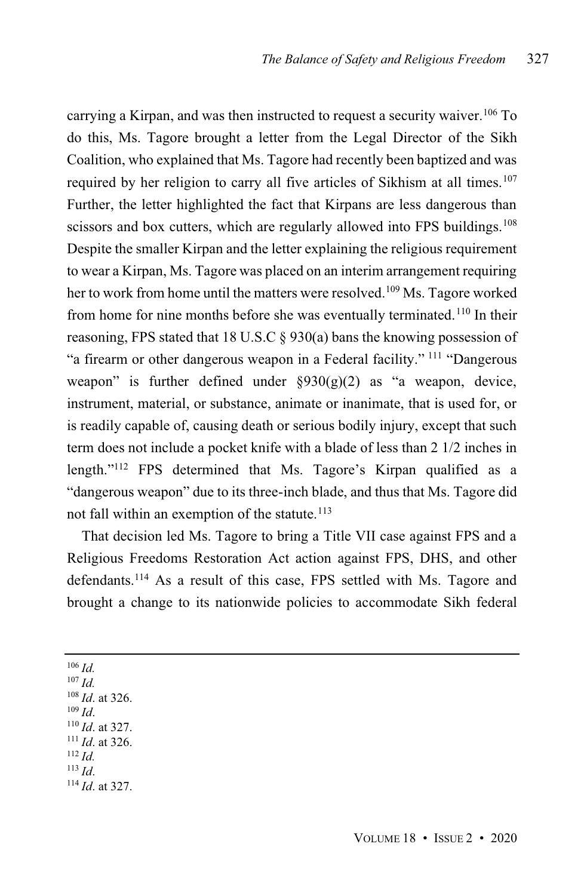carrying a Kirpan, and was then instructed to request a security waiver. <sup>106</sup> To do this, Ms. Tagore brought a letter from the Legal Director of the Sikh Coalition, who explained that Ms. Tagore had recently been baptized and was required by her religion to carry all five articles of Sikhism at all times.<sup>107</sup> Further, the letter highlighted the fact that Kirpans are less dangerous than scissors and box cutters, which are regularly allowed into FPS buildings.<sup>108</sup> Despite the smaller Kirpan and the letter explaining the religious requirement to wear a Kirpan, Ms. Tagore was placed on an interim arrangement requiring her to work from home until the matters were resolved. <sup>109</sup> Ms. Tagore worked from home for nine months before she was eventually terminated.<sup>110</sup> In their reasoning, FPS stated that 18 U.S.C § 930(a) bans the knowing possession of "a firearm or other dangerous weapon in a Federal facility." <sup>111</sup> "Dangerous weapon" is further defined under  $\S 930(g)(2)$  as "a weapon, device, instrument, material, or substance, animate or inanimate, that is used for, or is readily capable of, causing death or serious bodily injury, except that such term does not include a pocket knife with a blade of less than 2 1/2 inches in length." <sup>112</sup> FPS determined that Ms. Tagore's Kirpan qualified as a "dangerous weapon" due to its three-inch blade, and thus that Ms. Tagore did not fall within an exemption of the statute.<sup>113</sup>

That decision led Ms. Tagore to bring a Title VII case against FPS and a Religious Freedoms Restoration Act action against FPS, DHS, and other defendants. <sup>114</sup> As a result of this case, FPS settled with Ms. Tagore and brought a change to its nationwide policies to accommodate Sikh federal

<sup>106</sup> *Id.* <sup>107</sup> *Id.* <sup>108</sup> *Id*. at 326. <sup>109</sup> *Id*. <sup>110</sup> *Id*. at 327. <sup>111</sup> *Id*. at 326.  $112$  *Id.* <sup>113</sup> *Id*. <sup>114</sup> *Id*. at 327.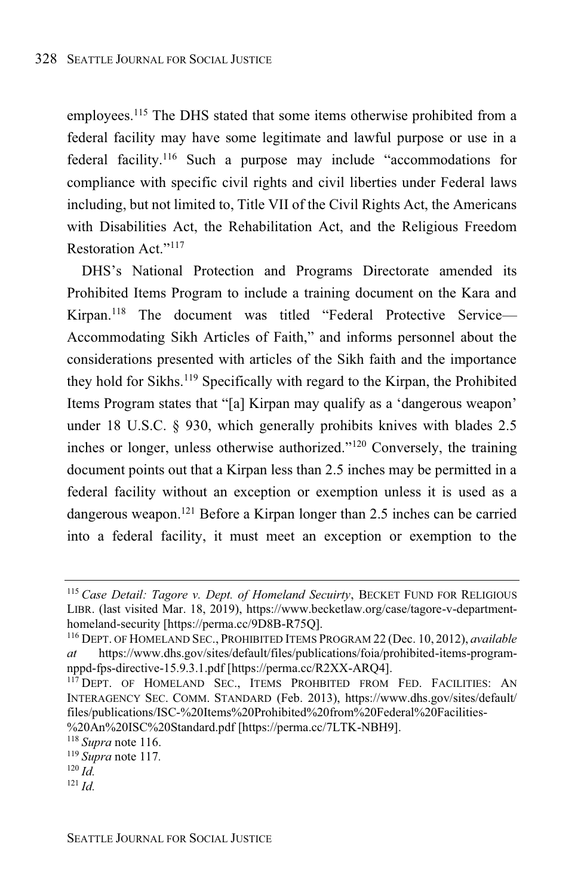employees. <sup>115</sup> The DHS stated that some items otherwise prohibited from a federal facility may have some legitimate and lawful purpose or use in a federal facility.<sup>116</sup> Such a purpose may include "accommodations for compliance with specific civil rights and civil liberties under Federal laws including, but not limited to, Title VII of the Civil Rights Act, the Americans with Disabilities Act, the Rehabilitation Act, and the Religious Freedom Restoration Act." 117

DHS's National Protection and Programs Directorate amended its Prohibited Items Program to include a training document on the Kara and Kirpan.<sup>118</sup> The document was titled "Federal Protective Service-Accommodating Sikh Articles of Faith," and informs personnel about the considerations presented with articles of the Sikh faith and the importance they hold for Sikhs. <sup>119</sup> Specifically with regard to the Kirpan, the Prohibited Items Program states that "[a] Kirpan may qualify as a 'dangerous weapon' under 18 U.S.C. § 930, which generally prohibits knives with blades 2.5 inches or longer, unless otherwise authorized."<sup>120</sup> Conversely, the training document points out that a Kirpan less than 2.5 inches may be permitted in a federal facility without an exception or exemption unless it is used as a dangerous weapon.<sup>121</sup> Before a Kirpan longer than 2.5 inches can be carried into a federal facility, it must meet an exception or exemption to the

<sup>115</sup> *Case Detail: Tagore v. Dept. of Homeland Secuirty*, BECKET FUND FOR RELIGIOUS LIBR. (last visited Mar. 18, 2019), https://www.becketlaw.org/case/tagore-v-departmenthomeland-security [https://perma.cc/9D8B-R75Q].

<sup>116</sup> DEPT. OF HOMELAND SEC., PROHIBITED ITEMS PROGRAM 22 (Dec. 10, 2012), *available at* https://www.dhs.gov/sites/default/files/publications/foia/prohibited-items-programnppd-fps-directive-15.9.3.1.pdf [https://perma.cc/R2XX-ARQ4].

<sup>&</sup>lt;sup>117</sup> DEPT. OF HOMELAND SEC., ITEMS PROHBITED FROM FED. FACILITIES: AN INTERAGENCY SEC. COMM. STANDARD (Feb. 2013), https://www.dhs.gov/sites/default/ files/publications/ISC-%20Items%20Prohibited%20from%20Federal%20Facilities-

<sup>%20</sup>An%20ISC%20Standard.pdf [https://perma.cc/7LTK-NBH9].

<sup>118</sup> *Supra* note 116.

<sup>119</sup> *Supra* note 117*.*

 $^{120}$  *Id*.

<sup>121</sup> *Id.*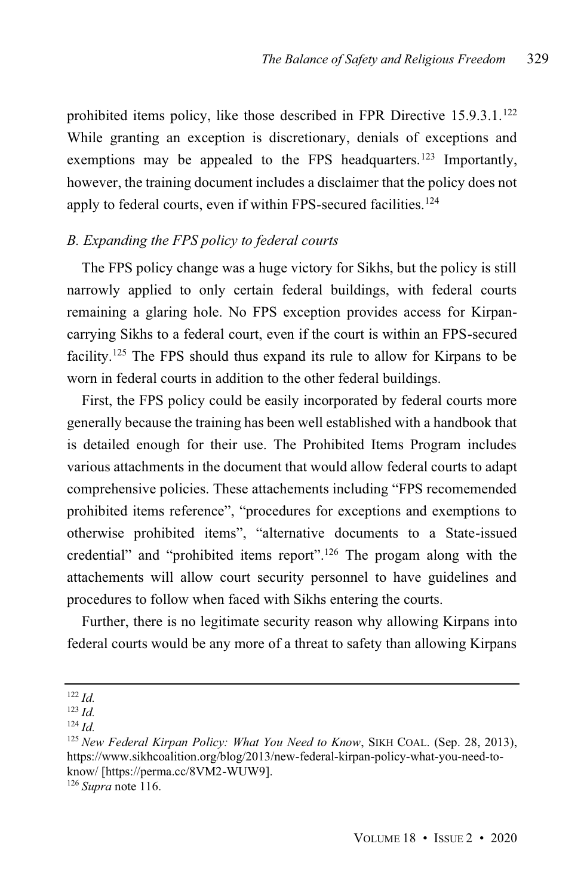prohibited items policy, like those described in FPR Directive 15.9.3.1.<sup>122</sup> While granting an exception is discretionary, denials of exceptions and exemptions may be appealed to the FPS headquarters.<sup>123</sup> Importantly, however, the training document includes a disclaimer that the policy does not apply to federal courts, even if within FPS-secured facilities.<sup>124</sup>

# *B. Expanding the FPS policy to federal courts*

The FPS policy change was a huge victory for Sikhs, but the policy is still narrowly applied to only certain federal buildings, with federal courts remaining a glaring hole. No FPS exception provides access for Kirpancarrying Sikhs to a federal court, even if the court is within an FPS-secured facility.<sup>125</sup> The FPS should thus expand its rule to allow for Kirpans to be worn in federal courts in addition to the other federal buildings.

First, the FPS policy could be easily incorporated by federal courts more generally because the training has been well established with a handbook that is detailed enough for their use. The Prohibited Items Program includes various attachments in the document that would allow federal courts to adapt comprehensive policies. These attachements including "FPS recomemended prohibited items reference", "procedures for exceptions and exemptions to otherwise prohibited items", "alternative documents to a State-issued credential" and "prohibited items report".<sup>126</sup> The progam along with the attachements will allow court security personnel to have guidelines and procedures to follow when faced with Sikhs entering the courts.

Further, there is no legitimate security reason why allowing Kirpans into federal courts would be any more of a threat to safety than allowing Kirpans

<sup>122</sup> *Id.*

<sup>123</sup> *Id.*

<sup>124</sup> *Id.*

<sup>125</sup> *New Federal Kirpan Policy: What You Need to Know*, SIKH COAL. (Sep. 28, 2013), https://www.sikhcoalition.org/blog/2013/new-federal-kirpan-policy-what-you-need-toknow/ [https://perma.cc/8VM2-WUW9].

<sup>126</sup> *Supra* note 116.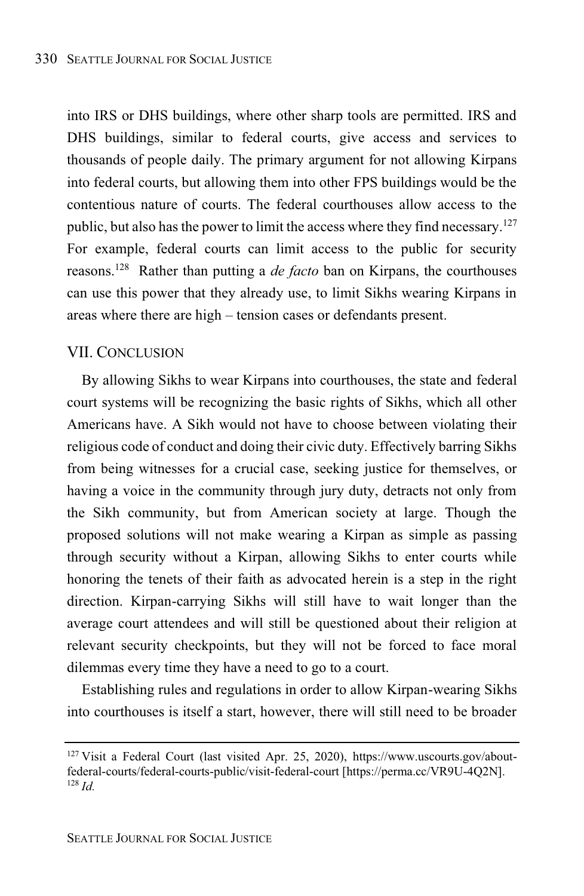into IRS or DHS buildings, where other sharp tools are permitted. IRS and DHS buildings, similar to federal courts, give access and services to thousands of people daily. The primary argument for not allowing Kirpans into federal courts, but allowing them into other FPS buildings would be the contentious nature of courts. The federal courthouses allow access to the public, but also hasthe power to limit the access where they find necessary.<sup>127</sup> For example, federal courts can limit access to the public for security reasons. <sup>128</sup> Rather than putting a *de facto* ban on Kirpans, the courthouses can use this power that they already use, to limit Sikhs wearing Kirpans in areas where there are high – tension cases or defendants present.

### VII. CONCLUSION

By allowing Sikhs to wear Kirpans into courthouses, the state and federal court systems will be recognizing the basic rights of Sikhs, which all other Americans have. A Sikh would not have to choose between violating their religious code of conduct and doing their civic duty. Effectively barring Sikhs from being witnesses for a crucial case, seeking justice for themselves, or having a voice in the community through jury duty, detracts not only from the Sikh community, but from American society at large. Though the proposed solutions will not make wearing a Kirpan as simple as passing through security without a Kirpan, allowing Sikhs to enter courts while honoring the tenets of their faith as advocated herein is a step in the right direction. Kirpan-carrying Sikhs will still have to wait longer than the average court attendees and will still be questioned about their religion at relevant security checkpoints, but they will not be forced to face moral dilemmas every time they have a need to go to a court.

Establishing rules and regulations in order to allow Kirpan-wearing Sikhs into courthouses is itself a start, however, there will still need to be broader

<sup>127</sup> Visit a Federal Court (last visited Apr. 25, 2020), https://www.uscourts.gov/aboutfederal-courts/federal-courts-public/visit-federal-court [https://perma.cc/VR9U-4Q2N]. <sup>128</sup> *Id.*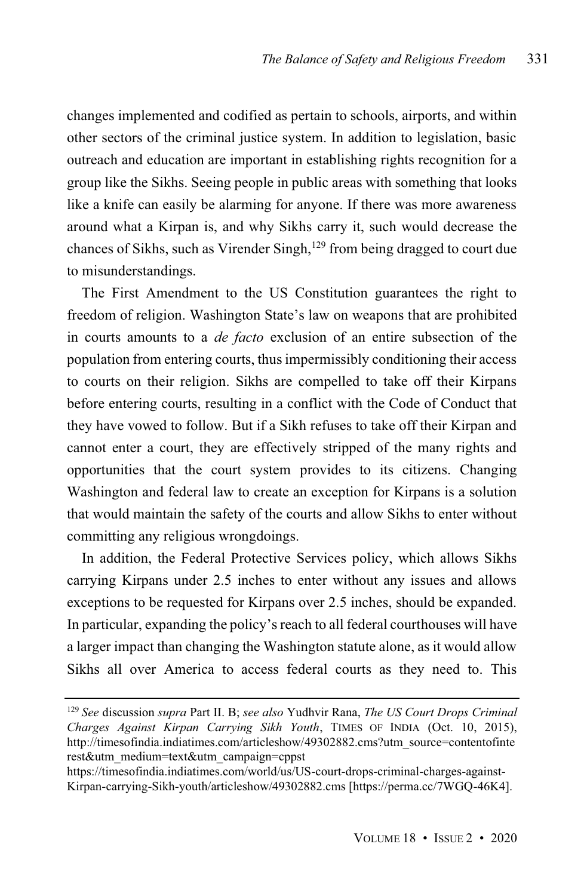changes implemented and codified as pertain to schools, airports, and within other sectors of the criminal justice system. In addition to legislation, basic outreach and education are important in establishing rights recognition for a group like the Sikhs. Seeing people in public areas with something that looks like a knife can easily be alarming for anyone. If there was more awareness around what a Kirpan is, and why Sikhs carry it, such would decrease the chances of Sikhs, such as Virender Singh,<sup>129</sup> from being dragged to court due to misunderstandings.

The First Amendment to the US Constitution guarantees the right to freedom of religion. Washington State's law on weapons that are prohibited in courts amounts to a *de facto* exclusion of an entire subsection of the population from entering courts, thusimpermissibly conditioning their access to courts on their religion. Sikhs are compelled to take off their Kirpans before entering courts, resulting in a conflict with the Code of Conduct that they have vowed to follow. But if a Sikh refuses to take off their Kirpan and cannot enter a court, they are effectively stripped of the many rights and opportunities that the court system provides to its citizens. Changing Washington and federal law to create an exception for Kirpans is a solution that would maintain the safety of the courts and allow Sikhs to enter without committing any religious wrongdoings.

In addition, the Federal Protective Services policy, which allows Sikhs carrying Kirpans under 2.5 inches to enter without any issues and allows exceptions to be requested for Kirpans over 2.5 inches, should be expanded. In particular, expanding the policy's reach to all federal courthouses will have a larger impact than changing the Washington statute alone, as it would allow Sikhs all over America to access federal courts as they need to. This

<sup>129</sup> *See* discussion *supra* Part II. B; *see also* Yudhvir Rana, *The US Court Drops Criminal Charges Against Kirpan Carrying Sikh Youth*, TIMES OF INDIA (Oct. 10, 2015), http://timesofindia.indiatimes.com/articleshow/49302882.cms?utm\_source=contentofinte rest&utm\_medium=text&utm\_campaign=cppst

https://timesofindia.indiatimes.com/world/us/US-court-drops-criminal-charges-against-Kirpan-carrying-Sikh-youth/articleshow/49302882.cms [https://perma.cc/7WGQ-46K4].